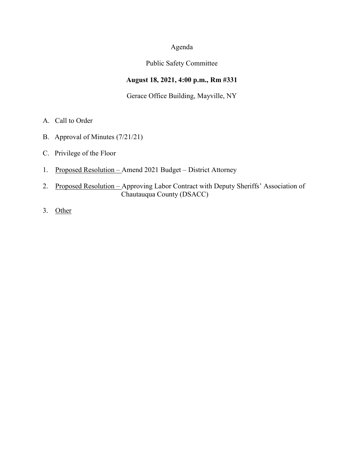## Agenda

### Public Safety Committee

# **August 18, 2021, 4:00 p.m., Rm #331**

### Gerace Office Building, Mayville, NY

- A. Call to Order
- B. Approval of Minutes (7/21/21)
- C. Privilege of the Floor
- 1. Proposed Resolution Amend 2021 Budget District Attorney
- 2. Proposed Resolution Approving Labor Contract with Deputy Sheriffs' Association of Chautauqua County (DSACC)
- 3. Other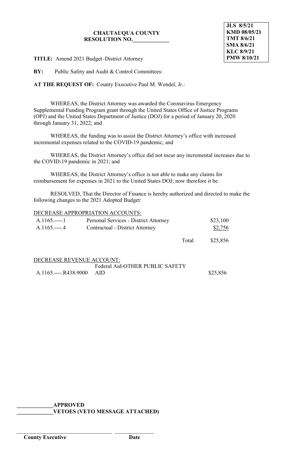#### **CHAUTAUQUA COUNTY RESOLUTION NO.\_\_\_\_\_\_\_\_\_\_\_\_\_**

**JLS 8/5/21 KMD 08/05/21 TMT 8/6/21 SMA 8/6/21 KLC 8/9/21 PMW 8/10/21**

**TITLE:** Amend 2021 Budget–District Attorney

**BY:** Public Safety and Audit & Control Committees:

**AT THE REQUEST OF:** County Executive Paul M. Wendel, Jr.:

WHEREAS, the District Attorney was awarded the Coronavirus Emergency Supplemental Funding Program grant through the United States Office of Justice Programs (OPJ) and the United States Department of Justice (DOJ) for a period of January 20, 2020 through January 31, 2022; and

WHEREAS, the funding was to assist the District Attorney's office with increased incremental expenses related to the COVID-19 pandemic; and

WHEREAS, the District Attorney's office did not incur any incremental increases due to the COVID-19 pandemic in 2021; and

WHEREAS, the District Attorney's office is not able to make any claims for reimbursement for expenses in 2021 to the United States DOJ; now therefore it be

RESOLVED, That the Director of Finance is hereby authorized and directed to make the following changes to the 2021 Adopted Budget:

#### DECREASE APPROPRIATION ACCOUNTS:

| $A.1165$                  | Personal Services - District Attorney |       | \$23,100 |
|---------------------------|---------------------------------------|-------|----------|
| $A.1165.---4$             | Contractual - District Attorney       |       | \$2,756  |
|                           |                                       | Total | \$25,856 |
| DECREASE REVENUE ACCOUNT: |                                       |       |          |
|                           | Federal Aid-OTHER PUBLIC SAFETY       |       |          |
| A.1165.----.R438.9000     | AlD                                   |       | \$25,856 |

**\_\_\_\_\_\_\_\_\_\_\_\_\_APPROVED**

\_\_\_\_\_\_\_\_\_\_\_\_\_\_\_\_\_\_\_\_\_\_\_\_\_\_\_\_\_\_\_\_\_\_ \_\_\_\_\_\_\_\_\_\_\_\_\_\_

**\_\_\_\_\_\_\_\_\_\_\_\_\_VETOES (VETO MESSAGE ATTACHED)**